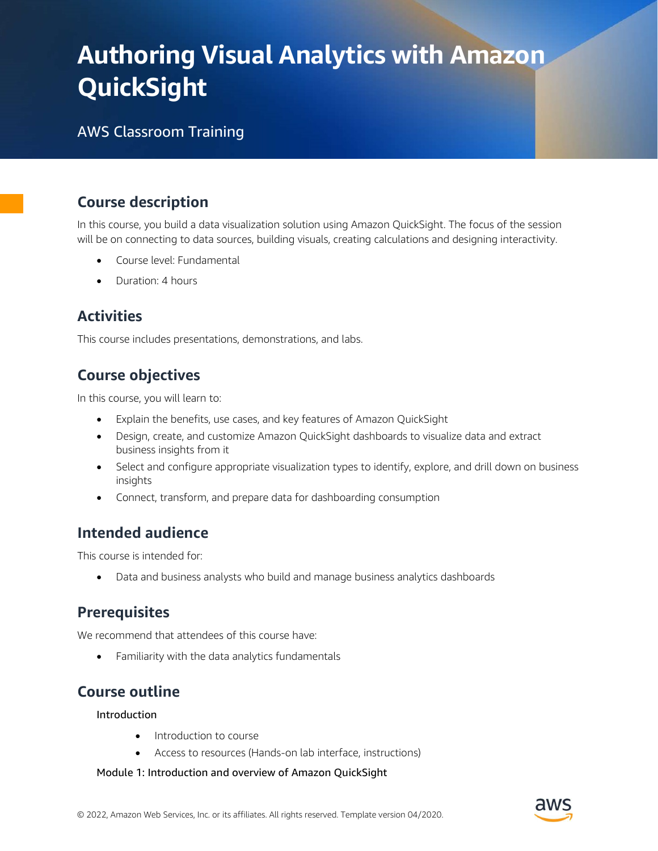# Authoring Visual Analytics with Amazon **QuickSight**

## AWS Classroom Training

## Course description

In this course, you build a data visualization solution using Amazon QuickSight. The focus of the session will be on connecting to data sources, building visuals, creating calculations and designing interactivity.

- Course level: Fundamental
- Duration: 4 hours

### **Activities**

This course includes presentations, demonstrations, and labs.

## Course objectives

In this course, you will learn to:

- Explain the benefits, use cases, and key features of Amazon QuickSight
- Design, create, and customize Amazon QuickSight dashboards to visualize data and extract business insights from it
- Select and configure appropriate visualization types to identify, explore, and drill down on business insights
- Connect, transform, and prepare data for dashboarding consumption

#### Intended audience

This course is intended for:

Data and business analysts who build and manage business analytics dashboards

#### **Prerequisites**

We recommend that attendees of this course have:

Familiarity with the data analytics fundamentals

## Course outline

Introduction

- Introduction to course
- Access to resources (Hands-on lab interface, instructions)

Module 1: Introduction and overview of Amazon QuickSight